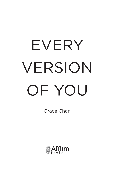## EVERY VERSION OF YOU

Grace Chan

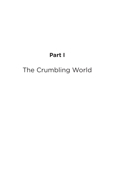## **Part I**

## The Crumbling World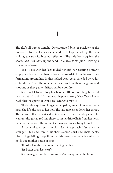1

The sky's all wrong tonight. Oversaturated blue, it pixelates at the horizon into streaky seawater, and is hole-punched by the sun sinking towards its bloated reflection. The tide beats against the shore. *One, two, three* up the sand. *One, two, three, four* – leaving a sine wave of foam.

Tao-Yi sits with her legs folded beneath her, rotating a nearly empty beer bottle in her hands. Long shadows drip from the sandstone formations around her. In this tucked-away cove, shielded by ruddy cliffs, she can't see the others, but she can hear them laughing and shouting as they gather driftwood for a bonfire.

She has let Navin drag her here, a little out of obligation, but mostly out of habit. It's just what happens every New Year's Eve – Zach throws a party. It would feel wrong to miss it.

The bottle stays ice-cold against her palms, impervious to her body heat. She lifts the rim to her lips. The last gulp slices down her throat. The ocean ruffles like a silk skirt in a breeze, creased and opaque. She waits for the gust to roll into shore, to lift tendrils of hair from her neck, but it never comes – the air in Gaia is as stale as a subway tunnel.

A rustle of sand grass heralds Navin's approach. He's almost a stranger – tall and lean in his short-sleeved shirt and khaki pants, black fringe falling choppily across his brow, a vulnerable smile. He holds out another bottle of beer.

'It tastes like shit,' she says, shaking her head.

'It's better than last year's.'

She manages a smile, thinking of Zach's experimental brew.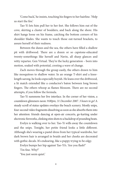'Come back,' he insists, touching his fingers to her hairline. 'Help us start the fire.'

Tao-Yi lets him pull her to her feet. She follows him out of the cove, skirting a cluster of boulders, and back along the shore. His shirt hangs loose on his frame, catching the bottom corners of his shoulder blades. She wants to touch those out-turned brackets, to assure herself of their realness.

Between the dunes and the sea, the others have filled a shallow pit with driftwood. There are a dozen or so capstone-educated twenty-somethings like herself and Navin, all sharp glances and witty repartee. Gen Virtual. They're the lucky generation – born into motion, soaked with potential, cresting a wave of change.

Zach moves through the group easily, the others drawn to him like mosquitoes to shallow water. In an orange T-shirt and a kneelength sarong, he looks especially boyish. He leans over the driftwood, a lit match extended like a conductor's baton between long brown fingers. The others whoop as flames blossom. There are no second attempts, if you follow the formula.

Tao-Yi summons her live interface. In the corner of her vision, a countdown glimmers neon: *9:00pm, 31 December 2087. 3 hours to go!* A steady scroll of status updates overlays the beach scenery. Mostly snips, four-second video fragments dissolving as soon as she absorbs them into her attention: friends dancing at open-air concerts, go-karting under electronic fireworks, clinking stim shots to a backdrop of pounding beats.

Evelyn is walking over to her. Tao-Yi wills away the countdown and the snips. Tonight, her petite friend looks a little different. Although she's wearing a pastel dress from her typical wardrobe, her dark brown hair is arranged in braids and her cheeks are decorated with gothic decals. It's endearing, like a puppy trying to be edgy.

Evelyn bumps her hip against Tao-Yi's. 'Are you flash?'

'I'm fine. Why?'

'You just seem quiet.'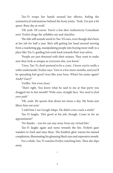Tao-Yi wraps her hands around her elbows, feeling the symmetrical indentations behind the bony joints. 'Yeah, I'm just a bit spent. Busy day at work.'

'Oh yeah. Of course. You're a hot shot *Authenticity* Consultant now.' Evelyn drags the syllables out and chuckles.

The title still sounds weird to Tao-Yi's ears, even though she's been at her job for half a year. She's still getting her head around moving from a marketing gig, manipulating people into buying more stuff, to a place like Tru U, guiding lost souls back towards their true selves.

'People are just obsessed with their avatars. They want to make sure they look as unique as everyone else, you know.'

'Usoo, Tao-Yi, don't pretend to be a cynic. I know you're really a softie underneath,' Evelyn says. 'Give it a few more months, and you'll be spreading feel-good virus like your boss. What's his name again? Andy? Gary?'

'Griffin. Not even close.'

'That's right. You know what he said to me at that party you dragged me to last month? Wide eyes, straight face. *You need to find your path.*'

'Oh, yeah. He spouts that about ten times a day. My brain just filters him out now'

'I told him I use Google Maps. He didn't even crack a smile!'

Tao-Yi laughs. 'He's good at his job, though. Come in for an appointment?'

'No thanks – you lot can stay away from my virtual bits.'

Tao-Yi laughs again and turns towards the fire. Evelyn's gaze wanders to Zach and stays there. The bonfire's glow warms his tanned complexion, illuminating his gleaming black eyes and expressive mouth.

For a while, Tao-Yi watches Evelyn watching him. Then she slips away.

 $\sim$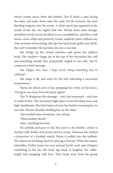About twenty paces from the bonfire, Tao-Yi finds a spot facing the water and sinks down onto the sand. On the horizon, the sun's bleeding magenta into the ocean. A white speck has appeared at the zenith of the sky: the night's first star. Slowly, more stars emerge, sprinkled evenly across the black in no constellations, and then a full moon, snow-white and perfectly round, suddenly there without any clear moment of becoming. She tips her head back, giddy and adrift. She can't remember the last time she saw a real star.

She brings up the virtual interface and opens her address book. Her mother's visage sits at the top of her favourites list: soft and unsmiling mouth, face perpetually angled to one side. Tao-Yi composes a brief message.

*Ma. Happy New Year. I hope you're doing something nice to celebrate?*

She zings it off, and waits for the tick indicating a successful transmission.

Navin sits down next to her, propping his wrists on his knees. 'Trying to run away from the party again?'

Tao-Yi disappears the message – sent, but unopened – and tries to smile at him. The inconstant light plays across his sharp nose and high cheekbones. She feels balanced now, the bonfire warming her on one side, Navin's shoulder holding her on the other.

'Just needed some downtime, my cyborg.'

'Want another drink?'

'Sure. Anything but beer.'

He unfolds and goes to the box next to the bonfire, which is stocked with drinks and mochi and ice cream. Someone has started a projection of a football match; Navin is pulled into the hubbub. The others are heckling Zach for placing a bad bet. When the banter intensifies, Evelyn loops her arm around Zach's neck and whispers something in his ear. His head tips back in laughter, his collarlength hair mingling with hers. They break away from the group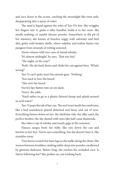and race down to the ocean, catching the moonlight like twin sails, disappearing into a spray of water.

The sand is liquid against the soles of Tao-Yi's feet. She wriggles her fingers into it, grabs a silky handful, holds it to her nose. She smells nothing, or maybe talcum powder. Somewhere in the pit of her memory, she knows of beaches soggy with saltwater and bird shit, gritty with broken shells, where sulphur and iodine fumes rise pungent from mounds of rotting seaweed.

Navin returns with two cans of mixed whisky.

'It's almost midnight,' he says. 'That was fast.'

'The night, or the year?'

'Both.' He sits back down and clinks his can against hers. 'What's wrong?'

Tao-Yi can't quite meet his earnest gaze. 'Nothing.'

'You used to love the beach.'

'This isn't the beach.'

Navin's lips flatten into an em dash.

'Sorry,' she adds.

'You'd rather to go to a plastic-littered dump and splash around in acid water?'

Tao-Yi pops the tab of her can. The surf roars inside her eardrums, like a bad soundtrack played distorted and fuzzy and out of sync. Everything heaves down on her: the rhythmic tide, the silky sand, the perfect bonfire, the sky dusted with stars like half-carat diamonds.

She takes a sip of whisky and nearly gags at the sourness.

Nausea surges from her belly. She sets down the can and lurches to her feet. Navin says something, but she doesn't hear it. She stumbles away.

Tiny leaves scratch her bare legs as she stalks along the shore. She weaves between boulders, sinking ankle-deep into powder, swallowed by glorious darkness. Before long, she reaches the secluded cove. Is Navin following her? She pushes on, not looking back.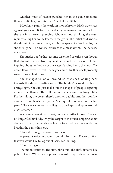Another wave of nausea punches her in the gut. Sometimes there are glitches, but this doesn't feel like a glitch.

Moonlight paints the world in monochrome. Black water laps against grey sand. Before the next surge of nausea can pummel her, she runs into the sea – plunging right in without thinking, the water rapidly taking her, to the knees, to the groin. The initial cold knocks the air out of her lungs. Then, within the space of a few breaths, the shock is gone. The water's embrace is almost warm. The nausea's gone, too.

She strides out further, gasping disjointed breaths, even though that doesn't matter. Nothing matters – not her soaked clothes flapping about her body, not the water clasping her to the neck. The ocean floor leaves her feet. If she goes much further, she'll probably smack into a blank zone.

She manages to swivel around so that she's looking back towards the shore, treading water. The bonfire's a small bauble of orange light. She can just make out the shapes of people capering around the flames. The full moon soars above shadowy cliffs. Further along the coast, there's another bauble. Another bonfire; another New Year's Eve party. She squints. Which one is her party? Has she swum out at a diagonal, perhaps, and spun around, disorientated?

A scream claws at her throat, but she wrestles it down. She can no longer feel her body. Only the weight of the water dragging at her clothes, her hair, reminds her of her contours. After a few shuddering breaths, the panic thins out.

'Gaia,' she thought-speaks. 'Log me out.'

A pleasant voice resonates from all directions. 'Please confirm that you would like to log out of Gaia, Tao-Yi Ling.'

'Confirm log out.'

The moon vanishes. The stars blink out. The cliffs dissolve like pillars of salt. Where water pressed against every inch of her skin,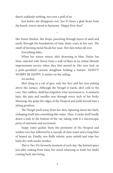there's suddenly nothing, not even a puff of air.

Just before she disappears too, Tao-Yi hears a glad shout from the beach, voices raised in harmony: 'Happy New Year!'

 $\sim$ 

Her bones thicken. She drops, punching through layers of sand and earth, through the foundations of Gaia. Static roars in her ears. The smell of burning metal floods her nose. Her skin itches all over.

Everything fades.

When her senses return, she's drowning in blue. Dulux Sea Note, selected with Navin from a wall of blues at an online lifestyle improvement service when they first moved in. Her eyes lock on a pink-sprinkled cartoon doughnut holding a banner: DONUT WORRY BE HAPPY. A sticker on the ceiling.

An anchor.

She's lying in a vat of goo, only her face and her toes poking above the surface. Although the Neugel is warm, she's cold to the core. Her rubbery shell has forgotten what movement is. A moment later, the pins and needles sear through every inch of her body. Moaning, she grips the edges of the Neupod and pulls herself into a sitting position.

The Neugel peels away from her skin, tiptoeing down her back, reshaping itself into something like water. Then, it sucks itself loudly down a hole in the bottom of the vat, taking with it a microscopic party of nutrients and excrement.

Soapy water gushes from the perimeter of the Neupod and washes over her, followed by a cascade of clear water and a long blast of heated air. Finally, two fluffy robotic arms unfold and wipe her body dry with tender strokes.

This is Tao-Yi's favourite moment of each day: the liminal space just after waking from Gaia, her mind returning to itself, her limbs coming back into being.